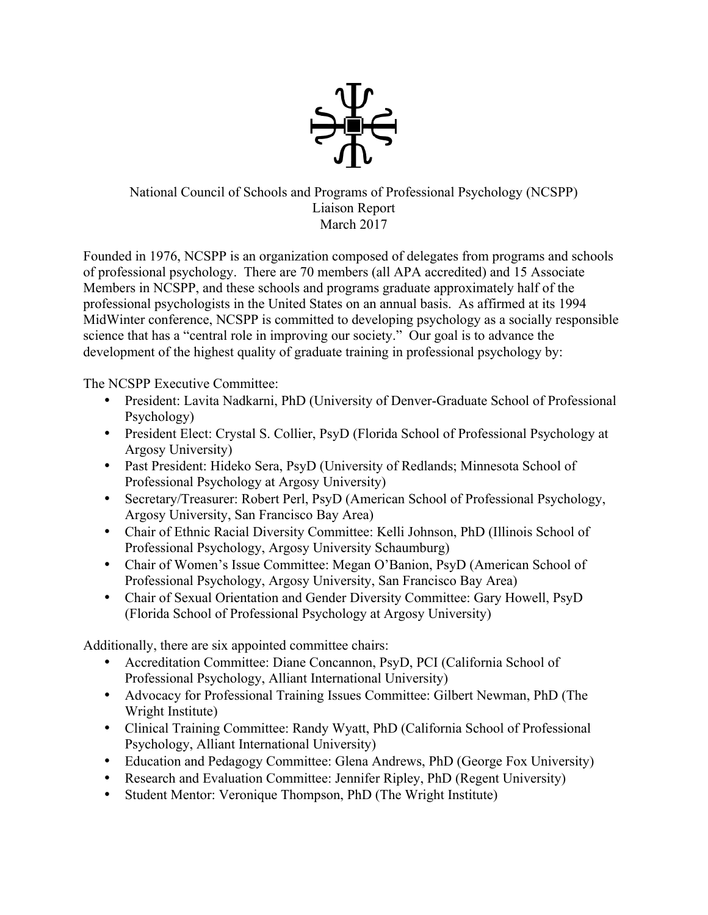

## National Council of Schools and Programs of Professional Psychology (NCSPP) Liaison Report March 2017

Founded in 1976, NCSPP is an organization composed of delegates from programs and schools of professional psychology. There are 70 members (all APA accredited) and 15 Associate Members in NCSPP, and these schools and programs graduate approximately half of the professional psychologists in the United States on an annual basis. As affirmed at its 1994 MidWinter conference, NCSPP is committed to developing psychology as a socially responsible science that has a "central role in improving our society." Our goal is to advance the development of the highest quality of graduate training in professional psychology by:

The NCSPP Executive Committee:

- President: Lavita Nadkarni, PhD (University of Denver-Graduate School of Professional Psychology)
- President Elect: Crystal S. Collier, PsyD (Florida School of Professional Psychology at Argosy University)
- Past President: Hideko Sera, PsyD (University of Redlands; Minnesota School of Professional Psychology at Argosy University)
- Secretary/Treasurer: Robert Perl, PsyD (American School of Professional Psychology, Argosy University, San Francisco Bay Area)
- Chair of Ethnic Racial Diversity Committee: Kelli Johnson, PhD (Illinois School of Professional Psychology, Argosy University Schaumburg)
- Chair of Women's Issue Committee: Megan O'Banion, PsyD (American School of Professional Psychology, Argosy University, San Francisco Bay Area)
- Chair of Sexual Orientation and Gender Diversity Committee: Gary Howell, PsyD (Florida School of Professional Psychology at Argosy University)

Additionally, there are six appointed committee chairs:

- Accreditation Committee: Diane Concannon, PsyD, PCI (California School of Professional Psychology, Alliant International University)
- Advocacy for Professional Training Issues Committee: Gilbert Newman, PhD (The Wright Institute)
- Clinical Training Committee: Randy Wyatt, PhD (California School of Professional Psychology, Alliant International University)
- Education and Pedagogy Committee: Glena Andrews, PhD (George Fox University)
- Research and Evaluation Committee: Jennifer Ripley, PhD (Regent University)
- Student Mentor: Veronique Thompson, PhD (The Wright Institute)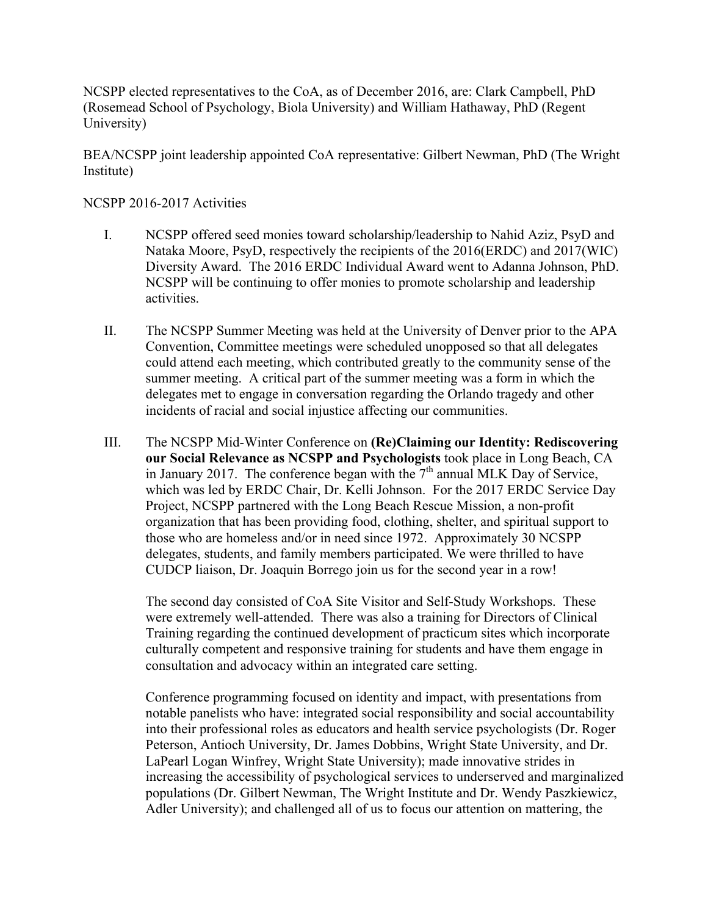NCSPP elected representatives to the CoA, as of December 2016, are: Clark Campbell, PhD (Rosemead School of Psychology, Biola University) and William Hathaway, PhD (Regent University)

BEA/NCSPP joint leadership appointed CoA representative: Gilbert Newman, PhD (The Wright Institute)

## NCSPP 2016-2017 Activities

- I. NCSPP offered seed monies toward scholarship/leadership to Nahid Aziz, PsyD and Nataka Moore, PsyD, respectively the recipients of the 2016(ERDC) and 2017(WIC) Diversity Award. The 2016 ERDC Individual Award went to Adanna Johnson, PhD. NCSPP will be continuing to offer monies to promote scholarship and leadership activities.
- II. The NCSPP Summer Meeting was held at the University of Denver prior to the APA Convention, Committee meetings were scheduled unopposed so that all delegates could attend each meeting, which contributed greatly to the community sense of the summer meeting. A critical part of the summer meeting was a form in which the delegates met to engage in conversation regarding the Orlando tragedy and other incidents of racial and social injustice affecting our communities.
- III. The NCSPP Mid-Winter Conference on **(Re)Claiming our Identity: Rediscovering our Social Relevance as NCSPP and Psychologists** took place in Long Beach, CA in January 2017. The conference began with the  $7<sup>th</sup>$  annual MLK Day of Service, which was led by ERDC Chair, Dr. Kelli Johnson. For the 2017 ERDC Service Day Project, NCSPP partnered with the Long Beach Rescue Mission, a non-profit organization that has been providing food, clothing, shelter, and spiritual support to those who are homeless and/or in need since 1972. Approximately 30 NCSPP delegates, students, and family members participated. We were thrilled to have CUDCP liaison, Dr. Joaquin Borrego join us for the second year in a row!

The second day consisted of CoA Site Visitor and Self-Study Workshops. These were extremely well-attended. There was also a training for Directors of Clinical Training regarding the continued development of practicum sites which incorporate culturally competent and responsive training for students and have them engage in consultation and advocacy within an integrated care setting.

Conference programming focused on identity and impact, with presentations from notable panelists who have: integrated social responsibility and social accountability into their professional roles as educators and health service psychologists (Dr. Roger Peterson, Antioch University, Dr. James Dobbins, Wright State University, and Dr. LaPearl Logan Winfrey, Wright State University); made innovative strides in increasing the accessibility of psychological services to underserved and marginalized populations (Dr. Gilbert Newman, The Wright Institute and Dr. Wendy Paszkiewicz, Adler University); and challenged all of us to focus our attention on mattering, the